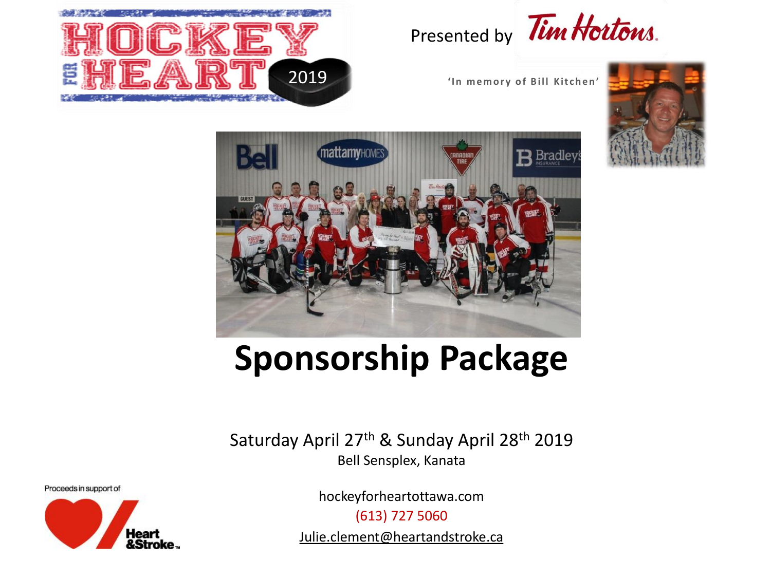

## Presented by Tim Hortons.







# **Sponsorship Package**

Saturday April 27th & Sunday April 28th 2019 Bell Sensplex, Kanata

Proceeds in support of



hockeyforheartottawa.com

(613) 727 5060

Julie.clement@heartandstroke.ca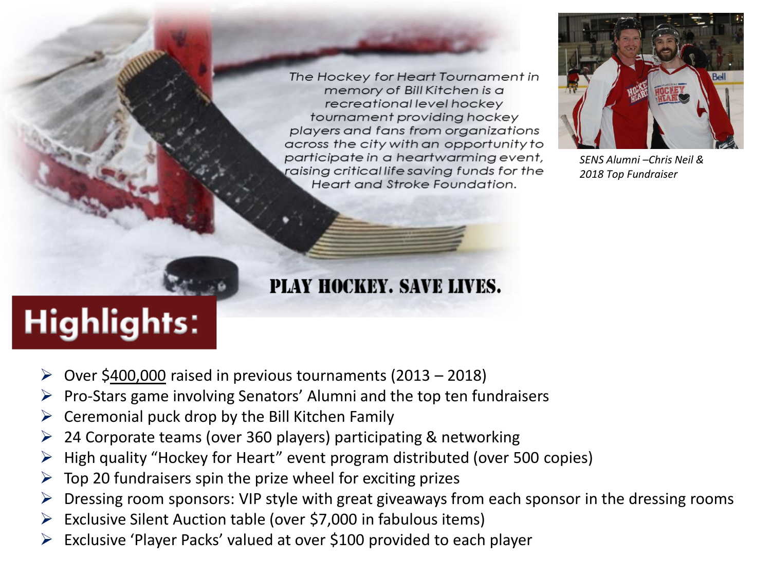The Hockey for Heart Tournament in memory of Bill Kitchen is a recreational level hockey tournament providing hockey players and fans from organizations across the city with an opportunity to participate in a heartwarming event, raising critical life saving funds for the Heart and Stroke Foundation.



*SENS Alumni –Chris Neil & 2018 Top Fundraiser* 

### PLAY HOCKEY. SAVE LIVES.

# **Highlights:**

- Over \$400,000 raised in previous tournaments (2013 2018)
- Pro-Stars game involving Senators' Alumni and the top ten fundraisers
- Ceremonial puck drop by the Bill Kitchen Family
- $\geq$  24 Corporate teams (over 360 players) participating & networking
- $\triangleright$  High quality "Hockey for Heart" event program distributed (over 500 copies)
- $\triangleright$  Top 20 fundraisers spin the prize wheel for exciting prizes
- $\triangleright$  Dressing room sponsors: VIP style with great giveaways from each sponsor in the dressing rooms
- $\triangleright$  Exclusive Silent Auction table (over \$7,000 in fabulous items)
- Exclusive 'Player Packs' valued at over \$100 provided to each player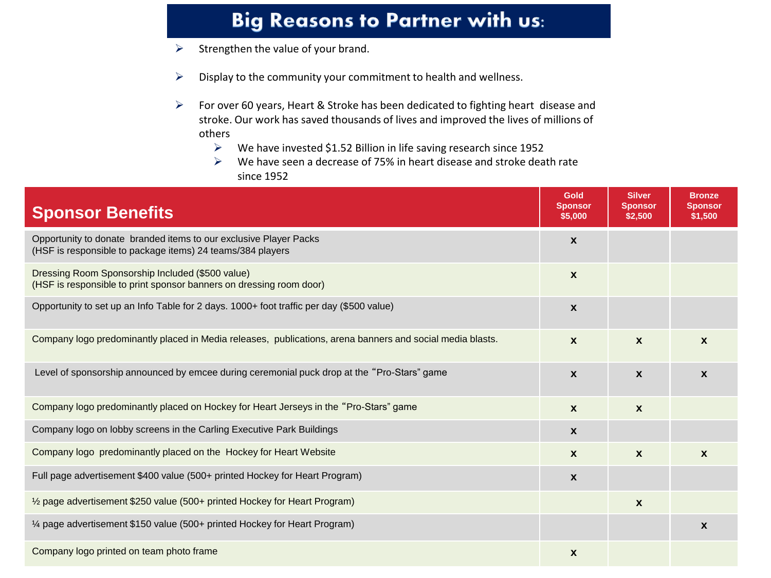### Big Reasons to Partner with us:

- $\triangleright$  Strengthen the value of your brand.
- $\triangleright$  Display to the community your commitment to health and wellness.
- $\triangleright$  For over 60 years, Heart & Stroke has been dedicated to fighting heart disease and stroke. Our work has saved thousands of lives and improved the lives of millions of others
	- $\triangleright$  We have invested \$1.52 Billion in life saving research since 1952
	- $\triangleright$  We have seen a decrease of 75% in heart disease and stroke death rate since 1952

| <b>Sponsor Benefits</b>                                                                                                         | <b>Gold</b><br><b>Sponsor</b><br>\$5,000 | <b>Silver</b><br><b>Sponsor</b><br>\$2,500 | <b>Bronze</b><br><b>Sponsor</b><br>\$1,500 |
|---------------------------------------------------------------------------------------------------------------------------------|------------------------------------------|--------------------------------------------|--------------------------------------------|
| Opportunity to donate branded items to our exclusive Player Packs<br>(HSF is responsible to package items) 24 teams/384 players | $\mathbf{x}$                             |                                            |                                            |
| Dressing Room Sponsorship Included (\$500 value)<br>(HSF is responsible to print sponsor banners on dressing room door)         | $\boldsymbol{\mathsf{x}}$                |                                            |                                            |
| Opportunity to set up an Info Table for 2 days. 1000+ foot traffic per day (\$500 value)                                        | $\boldsymbol{\mathsf{x}}$                |                                            |                                            |
| Company logo predominantly placed in Media releases, publications, arena banners and social media blasts.                       | $\boldsymbol{x}$                         | $\mathbf{x}$                               | $\boldsymbol{x}$                           |
| Level of sponsorship announced by emcee during ceremonial puck drop at the "Pro-Stars" game                                     | $\boldsymbol{\mathsf{x}}$                | $\mathbf{x}$                               | $\mathbf x$                                |
| Company logo predominantly placed on Hockey for Heart Jerseys in the "Pro-Stars" game                                           | $\boldsymbol{\mathsf{x}}$                | $\mathbf{x}$                               |                                            |
| Company logo on lobby screens in the Carling Executive Park Buildings                                                           | $\boldsymbol{\mathsf{x}}$                |                                            |                                            |
| Company logo predominantly placed on the Hockey for Heart Website                                                               | $\boldsymbol{x}$                         | $\mathbf{x}$                               | $\boldsymbol{x}$                           |
| Full page advertisement \$400 value (500+ printed Hockey for Heart Program)                                                     | $\boldsymbol{\mathsf{x}}$                |                                            |                                            |
| 1/2 page advertisement \$250 value (500+ printed Hockey for Heart Program)                                                      |                                          | $\boldsymbol{x}$                           |                                            |
| 1⁄4 page advertisement \$150 value (500+ printed Hockey for Heart Program)                                                      |                                          |                                            | $\boldsymbol{x}$                           |
| Company logo printed on team photo frame                                                                                        | $\boldsymbol{\mathsf{x}}$                |                                            |                                            |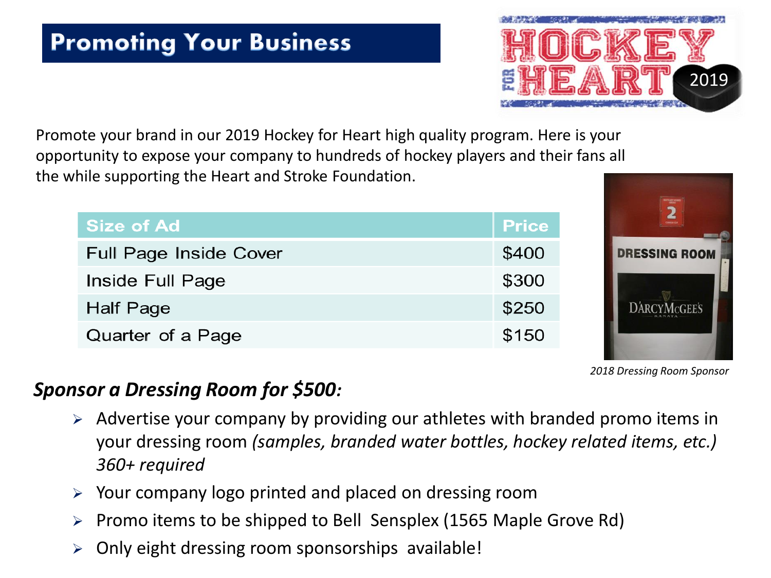

Promote your brand in our 2019 Hockey for Heart high quality program. Here is your opportunity to expose your company to hundreds of hockey players and their fans all the while supporting the Heart and Stroke Foundation.

| Size of Ad                    | <b>Price</b> |
|-------------------------------|--------------|
| <b>Full Page Inside Cover</b> | \$400        |
| Inside Full Page              | \$300        |
| Half Page                     | \$250        |
| Quarter of a Page             | \$150        |



*2018 Dressing Room Sponsor*

#### *Sponsor a Dressing Room for \$500:*

- $\triangleright$  Advertise your company by providing our athletes with branded promo items in your dressing room *(samples, branded water bottles, hockey related items, etc.) 360+ required*
- Your company logo printed and placed on dressing room
- Promo items to be shipped to Bell Sensplex (1565 Maple Grove Rd)
- Only eight dressing room sponsorships available!